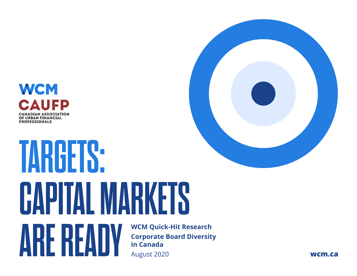

## **WCM Quick-Hit Research Corporate Board Diversity in Canada** August 2020 **TARGETS: CAPITAL MARKETS ARE READY** Corporate Board Diversity<br>and a metal canada Mugust 2020

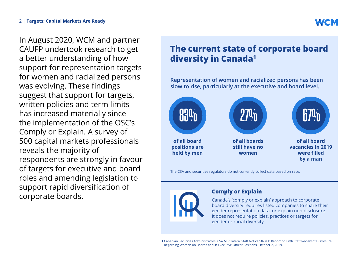In August 2020, WCM and partner CAUFP undertook research to get a better understanding of how support for representation targets for women and racialized persons was evolving. These findings suggest that support for targets, written policies and term limits has increased materially since the implementation of the OSC's Comply or Explain. A survey of 500 capital markets professionals

reveals the majority of respondents are strongly in favour of targets for executive and board roles and amending legislation to support rapid diversification of corporate boards.

## **The current state of corporate board diversity in Canada1**

**Representation of women and racialized persons has been slow to rise, particularly at the executive and board level.**



The CSA and securities regulators do not currently collect data based on race.



#### **Comply or Explain**

Canada's 'comply or explain' approach to corporate board diversity requires listed companies to share their gender representation data, or explain non-disclosure. It does not require policies, practices or targets for gender or racial diversity.

**1** Canadian Securities Administrators. CSA Multilateral Staff Notice 58-311: [Report on Fifth Staff Review of Disclosure](https://www.osc.gov.on.ca/documents/en/Securities-Category5/sn_20191002_58-311_staff-review-women-on-boards.pdf)  [Regarding Women on Boards and in Executive Officer Positions.](https://www.osc.gov.on.ca/documents/en/Securities-Category5/sn_20191002_58-311_staff-review-women-on-boards.pdf) October 2, 2019.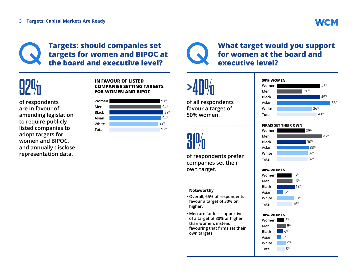## **Targets: should companies set targets for women and BIPOC at the board and executive level?**

# **92%**

**of respondents are in favour of amending legislation to require publicly listed companies to adopt targets for women and BIPOC, and annually disclose representation data.** 

#### **IN FAVOUR OF LISTED COMPANIES SETTING TARGETS FOR WOMEN AND BIPOC**



## **What target would you support for women at the board and executive level?**

# **>40%**

**of all respondents favour a target of 50% women.**

# **31%**

**of respondents prefer companies set their own target.** 

#### **Noteworthy**

- **• Overall, 65% of respondents favour a target of 30% or higher.**
- **• Men are far less supportive of a target of 30% or higher than women, instead favouring that firms set their own targets.**



#### **FIRMS SET THEIR OWN**

| Women        | 29% |
|--------------|-----|
| Men          | 47% |
| <b>Black</b> | 30% |
| Asian        | 33% |
| White        | 32% |
| Total        | 32% |

#### **40% WOMEN**



#### **30% WOMEN**

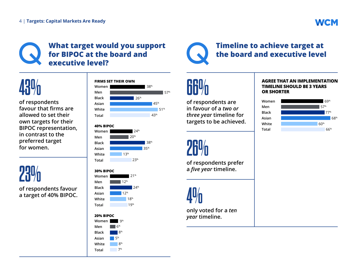### **What target would you support for BIPOC at the board and executive level?**



**of respondents favour that firms are allowed to set their own targets for their BIPOC representation, in contrast to the preferred target for women.**

**23%**

**of respondents favour a target of 40% BIPOC.**











## **66**

**of respondents are in favour of a** *two or three year* **timeline for targets to be achieved.** 

# **26%**

**of respondents prefer a** *five year* **timeline.** 

**4%** 

**only voted for a** *ten year* **timeline.**

#### **AGREE THAT AN IMPLEMENTATION TIMELINE SHOULD BE 3 YEARS OR SHORTER**

**Timeline to achieve target at the board and executive level**

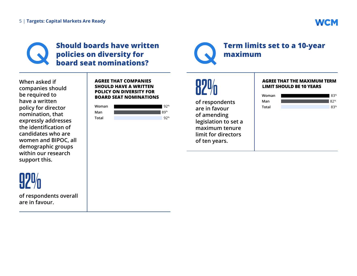## **WCM**

## **Should boards have written policies on diversity for board seat nominations?**



### **Term limits set to a 10-year maximum**

**When asked if companies should be required to have a written policy for director nomination, that expressly addresses the identification of candidates who are women and BIPOC, all demographic groups within our research support this.** 

**of respondents overall** 

**92%**

**are in favour.**

#### **AGREE THAT COMPANIES SHOULD HAVE A WRITTEN POLICY ON DIVERSITY FOR BOARD SEAT NOMINATIONS**





**of respondents are in favour of amending legislation to set a maximum tenure limit for directors of ten years.** 

#### **AGREE THAT THE MAXIMUM TERM LIMIT SHOULD BE 10 YEARS**

| Woman | 83% |
|-------|-----|
| Man   | 82% |
| Total | 83% |